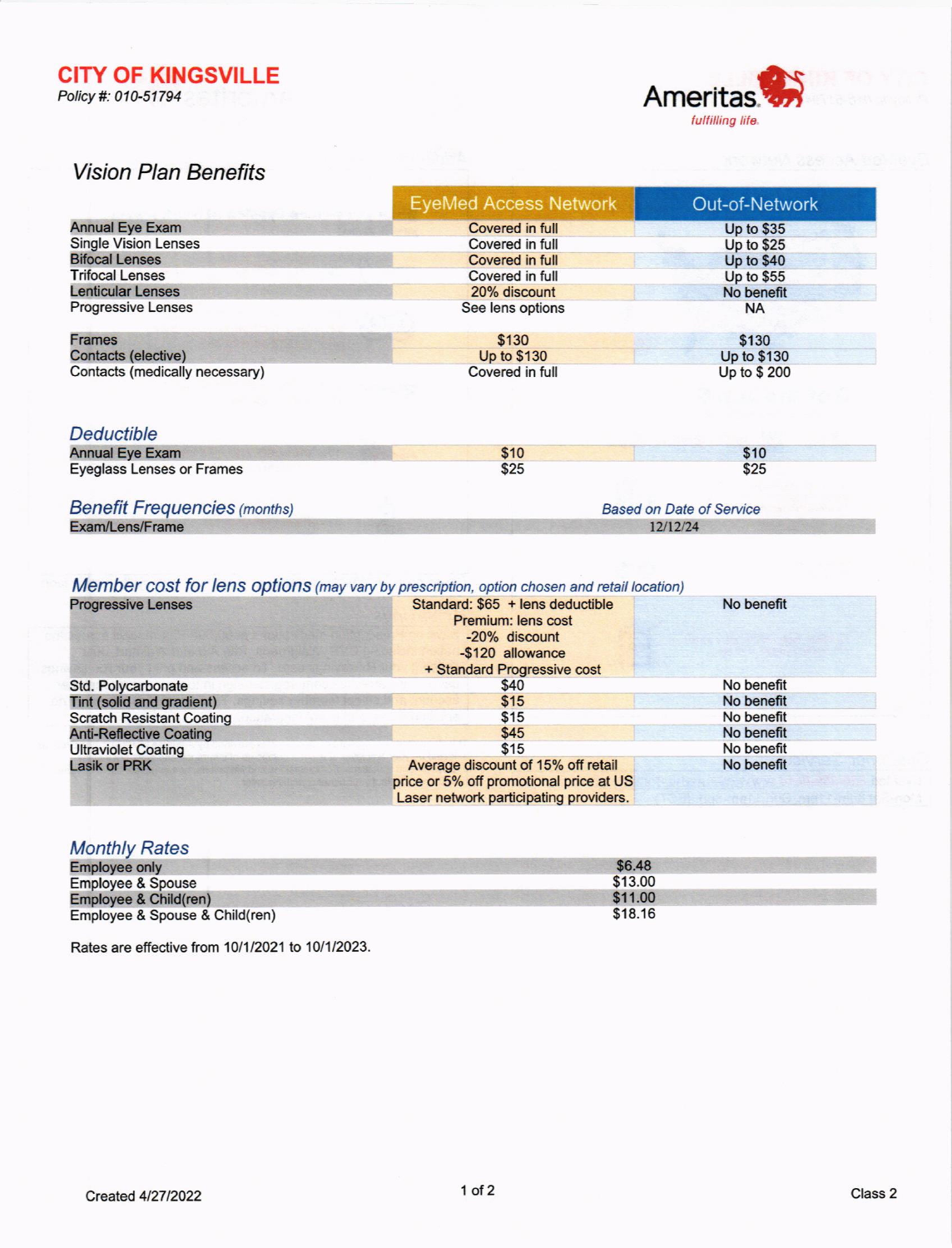**CITY OF KINGSVILLE** Policy #: 010-51794



# **Vision Plan Benefits**

|                                | <b>EyeMed Access Network</b> | Out-of-Network    |
|--------------------------------|------------------------------|-------------------|
| <b>Annual Eye Exam</b>         | <b>Covered in full</b>       | Up to \$35        |
| <b>Single Vision Lenses</b>    | Covered in full              | Up to $$25$       |
| <b>Bifocal Lenses</b>          | Covered in full              | <b>Up to \$40</b> |
| <b>Trifocal Lenses</b>         | Covered in full              | Up to \$55        |
| <b>Lenticular Lenses</b>       | 20% discount                 | No benefit        |
| <b>Progressive Lenses</b>      | See lens options             | <b>NA</b>         |
| <b>Frames</b>                  | \$130                        | \$130             |
| Contacts (elective)            | Up to \$130                  | Up to \$130       |
| Contacts (medically necessary) | Covered in full              | Up to \$200       |

### Deductible

| <b>Annual Eye Exam</b>              | \$10                            | \$10 |
|-------------------------------------|---------------------------------|------|
| <b>Eyeglass Lenses or Frames</b>    | \$25                            | \$25 |
| <b>Benefit Frequencies (months)</b> | <b>Based on Date of Service</b> |      |
| Exam/Lens/Frame                     | 12/12/24                        |      |

# Member cost for lens options (may vary by prescription, option chosen and retail location)

| <b>Progressive Lenses</b>        | Standard: \$65 + lens deductible<br>Premium: lens cost<br>-20% discount<br>-\$120 allowance<br>+ Standard Progressive cost | No benefit |
|----------------------------------|----------------------------------------------------------------------------------------------------------------------------|------------|
| Std. Polycarbonate               | \$40                                                                                                                       | No benefit |
| Tint (solid and gradient)        | \$15                                                                                                                       | No benefit |
| <b>Scratch Resistant Coating</b> | \$15                                                                                                                       | No benefit |
| <b>Anti-Reflective Coating</b>   | \$45                                                                                                                       | No benefit |
| <b>Ultraviolet Coating</b>       | \$15                                                                                                                       | No benefit |
| <b>Lasik or PRK</b>              | Average discount of 15% off retail<br>price or 5% off promotional price at US<br>Laser network participating providers.    | No benefit |

## **Monthly Rates**

| <b>Employee only</b>           | \$6.48  |
|--------------------------------|---------|
| <b>Employee &amp; Spouse</b>   | \$13.00 |
| Employee & Child(ren)          | \$11.00 |
| Employee & Spouse & Child(ren) | \$18.16 |

Rates are effective from 10/1/2021 to 10/1/2023.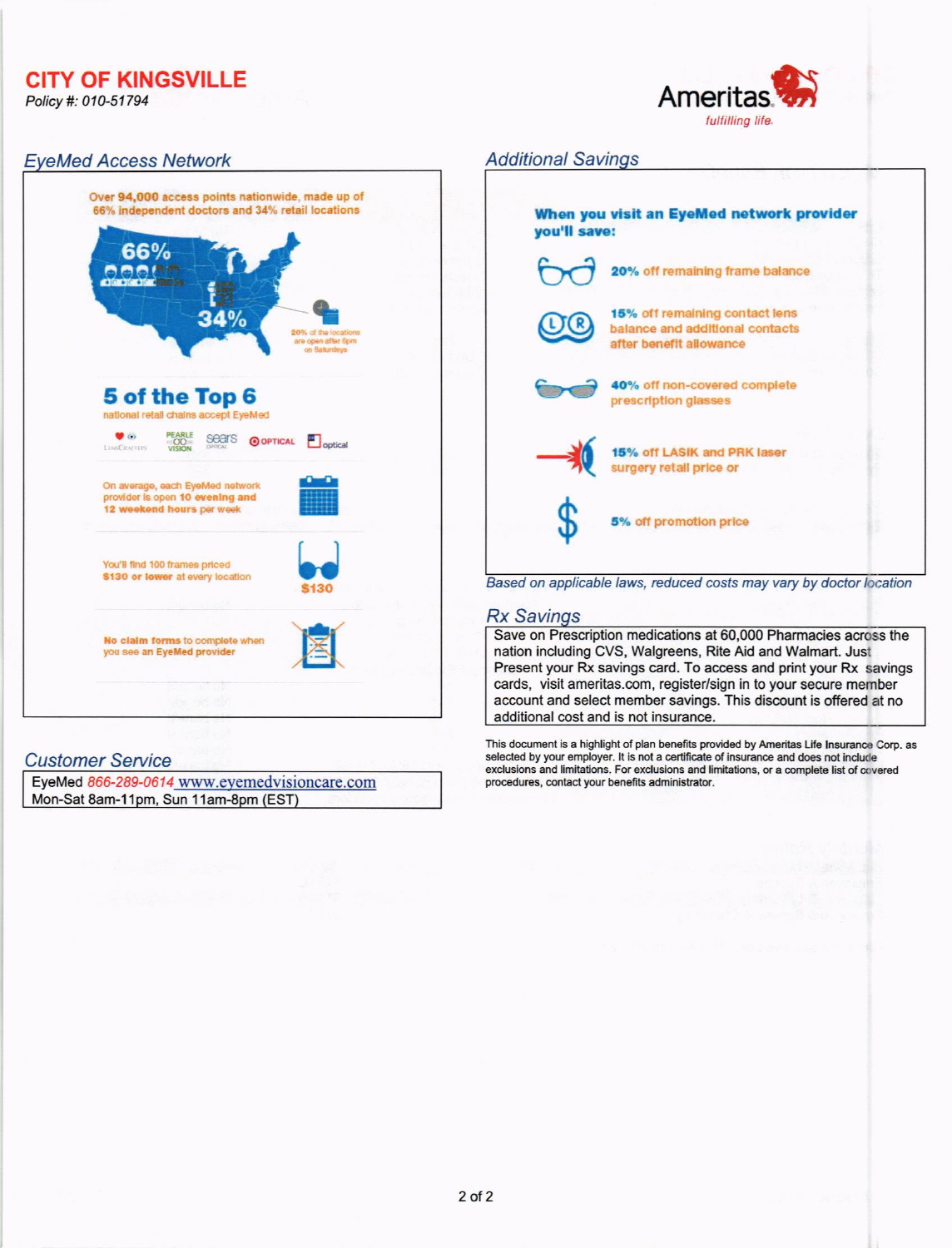**CITY OF KINGSVILLE** 

Policy #: 010-51794



# **EyeMed Access Network**



## **Customer Service**

EyeMed 866-289-0614 www.eyemedvisioncare.com Mon-Sat 8am-11pm, Sun 11am-8pm (EST)

#### **Additional Savings**

| When you visit an EyeMed network provider<br>you'll save: |                                                                                              |  |
|-----------------------------------------------------------|----------------------------------------------------------------------------------------------|--|
|                                                           | 20% off remaining frame balance                                                              |  |
|                                                           | 15% off remaining contact lens<br>balance and additional contacts<br>after benefit allowance |  |
|                                                           | 40% off non-covered complete<br>prescription glasses                                         |  |
|                                                           | 15% off LASIK and PRK laser<br>surgery retail price or                                       |  |
|                                                           | 5% off promotion price                                                                       |  |

Based on applicable laws, reduced costs may vary by doctor location

### **Rx Savings**

Save on Prescription medications at 60,000 Pharmacies across the nation including CVS, Walgreens, Rite Aid and Walmart. Just Present your Rx savings card. To access and print your Rx savings cards, visit ameritas.com, register/sign in to your secure member account and select member savings. This discount is offered at no additional cost and is not insurance.

This document is a highlight of plan benefits provided by Ameritas Life Insurance Corp. as selected by your employer. It is not a certificate of insurance and does not include exclusions and limitations. For exclusions and limitations, or a complete list of covered procedures, contact your benefits administrator.